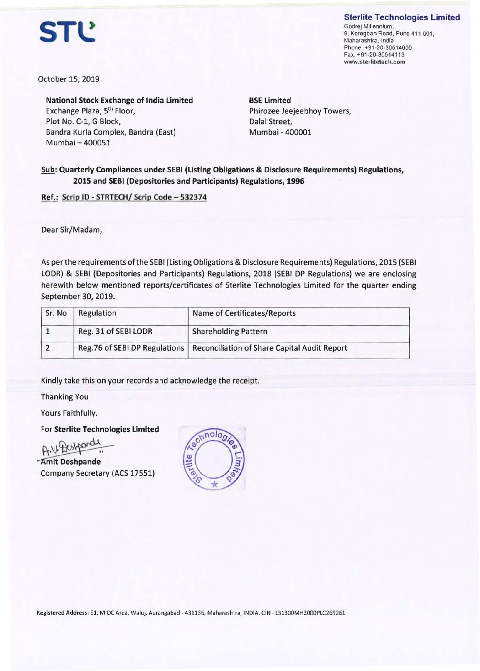

**Sterlite Technologies Limited**  Godrej Millennium, 9, Koregoan Road, Pune 411 001, Maharashtra, India Phone: +91-20-30514000 Fax: +91-20-30514113 **www.sterlitetech.com** 

October 15, 2019

**National Stock Exchange of India Limited**  Exchange Plaza, 5th Floor, Plot No. C-1, G Block, Bandra Kurla Complex, Bandra (East) Mumbai - 400051

**BSE Limited**  Phirozee Jeejeebhoy Towers, Dalal Street, Mumbai - 400001

## **Sub: Quarterly Compliances under SEBI (Listing Obligations** & **Disclosure Requirements) Regulations, 2015 and SEBI (Depositories and Participants) Regulations, 1996**

**Ref.: Scrip ID** - **STRTECH/ Scrip Code** - **532374** 

Dear Sir/Madam,

As per the requirements of the SEBI (Listing Obligations & Disclosure Requirements) Regulations, 2015 (SEBI LODR) & SEBI (Depositories and Participants) Regulations, 2018 (SEBI DP Regulations) we are enclosing herewith below mentioned reports/certificates of Sterlite Technologies Limited for the quarter ending September 30, 2019.

| Sr. No | Regulation           | Name of Certificates/Reports                                                 |
|--------|----------------------|------------------------------------------------------------------------------|
|        | Reg. 31 of SEBI LODR | <b>Shareholding Pattern</b>                                                  |
|        |                      | Reg.76 of SEBI DP Regulations   Reconciliation of Share Capital Audit Report |

Kindly take this on your records and acknowledge the receipt.

Thanking You

Yours Faithfully,

For **Sterlite Technologies Limited** 

Yours Faithfully,<br>For Sterlite Technologies Limited<br>A.V. Hustpande<br>Amit Deshpande<br>Company Secretary (ACS 17551)

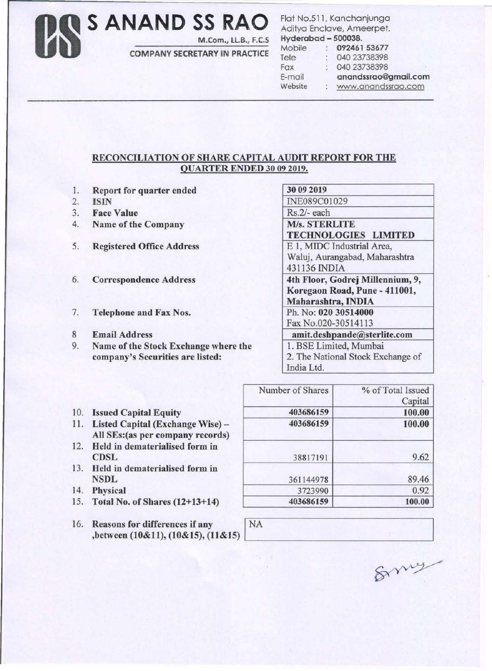S ANAND SS RAO M.Com., LL.B., F.C.S

**COMPANY SECRETARY IN PRACTICE** 

Flat No.511, Kanchanjunga Aditya Enclave, Ameerpet, Hyderabad - 500038.

| . <del>.</del> . |  |                      |
|------------------|--|----------------------|
| Mobile           |  | 092461 53677         |
| Tele             |  | 040 23738398         |
| Fax              |  | 040 23738398         |
| E-mail           |  | anandssrao@gmail.com |
| Website          |  | www.anandssrao.com   |

## RECONCILIATION OF SHARE CAPITAL AUDIT REPORT FOR THE **QUARTER ENDED 30 09 2019.**

- 1. Report for quarter ended
- $2.$ **ISIN**
- $3.$ **Face Value**
- $4.$ Name of the Company
- 5. **Registered Office Address**
- 6. **Correspondence Address**
- 7. **Telephone and Fax Nos.**
- 8 **Email Address**
- 9. Name of the Stock Exchange where the company's Securities are listed:

| 30 09 2019                        |  |
|-----------------------------------|--|
| INE089C01029                      |  |
| Rs.2/- each                       |  |
| <b>M/s. STERLITE</b>              |  |
| <b>TECHNOLOGIES LIMITED</b>       |  |
| E 1, MIDC Industrial Area,        |  |
| Waluj, Aurangabad, Maharashtra    |  |
| 431136 INDIA                      |  |
| 4th Floor, Godrej Millennium, 9,  |  |
| Koregaon Road, Pune - 411001,     |  |
| Maharashtra, INDIA                |  |
| Ph. No: 020 30514000              |  |
| Fax No.020-30514113               |  |
| amit.deshpande@sterlite.com       |  |
| 1. BSE Limited, Mumbai            |  |
| 2. The National Stock Exchange of |  |
| India Ltd.                        |  |

| <b>Issued Capital Equity</b> |  |  |  |  | 10. |  |
|------------------------------|--|--|--|--|-----|--|
|------------------------------|--|--|--|--|-----|--|

- 11. Listed Capital (Exchange Wise) -All SEs: (as per company records)
- 12. Held in dematerialised form in **CDSL**
- 13. Held in dematerialised form in **NSDL**
- 14. Physical
- 15. Total No. of Shares (12+13+14)
- 16. Reasons for differences if any ,between (10&11), (10&15), (11&15)

| Number of Shares | % of Total Issued |
|------------------|-------------------|
|                  | Capital           |
| 403686159        | 100.00            |
| 403686159        | 100.00            |
| 38817191         | 9.62              |
| 361144978        | 89.46             |
| 3723990          | 0.92              |
| 403686159        | 100.00            |

Smy

**NA**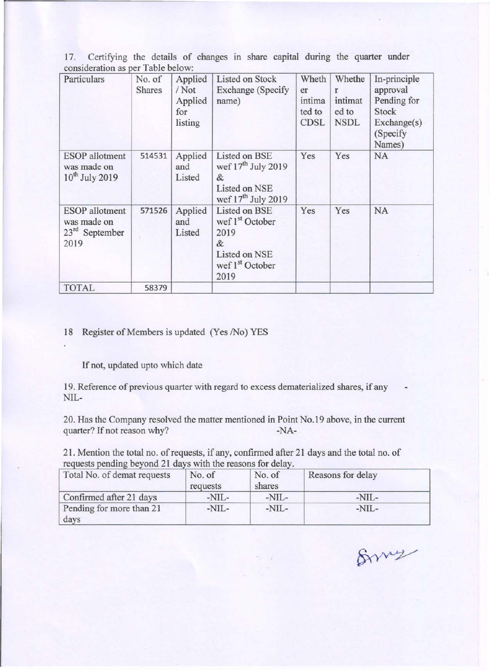17. Certifying the details of changes in share capital during the quarter under consideration as per Table below:

| Particulars                                                      | No. of<br><b>Shares</b> | Applied<br>/Not<br>Applied<br>for<br>listing | <b>Listed on Stock</b><br><b>Exchange</b> (Specify<br>name)                                                       | Wheth<br>er<br>intima<br>ted to<br><b>CDSL</b> | Whethe<br>r<br>intimat<br>ed to<br><b>NSDL</b> | In-principle<br>approval<br>Pending for<br><b>Stock</b><br>Exchange(s)<br>(Specify<br>Names) |
|------------------------------------------------------------------|-------------------------|----------------------------------------------|-------------------------------------------------------------------------------------------------------------------|------------------------------------------------|------------------------------------------------|----------------------------------------------------------------------------------------------|
| <b>ESOP</b> allotment<br>was made on<br>$10^{th}$ July 2019      | 514531                  | Applied<br>and<br>Listed                     | Listed on BSE<br>wef 17 <sup>th</sup> July 2019<br>&<br>Listed on NSE<br>wef 17 <sup>th</sup> July 2019           | Yes                                            | Yes                                            | <b>NA</b>                                                                                    |
| <b>ESOP</b> allotment<br>was made on<br>$23rd$ September<br>2019 | 571526                  | Applied<br>and<br>Listed                     | Listed on BSE<br>wef 1 <sup>st</sup> October<br>2019<br>&<br>Listed on NSE<br>wef 1 <sup>st</sup> October<br>2019 | Yes                                            | Yes                                            | <b>NA</b>                                                                                    |
| <b>TOTAL</b>                                                     | 58379                   |                                              |                                                                                                                   |                                                |                                                |                                                                                              |

## 18 Register of Members is updated (Yes /No) YES

If not, updated upto which date

19. Reference of previous quarter with regard to excess dematerialized shares, if any NIL-

20. Has the Company resolved the matter mentioned in Point No.19 above, in the current quarter? If not reason why? -NA-

21. Mention the total no. of requests, if any, confirmed after 21 days and the total no. of requests pending beyond 21 days with the reasons for delay.

| Total No. of demat requests      | No. of<br>requests | No. of<br>shares | Reasons for delay |
|----------------------------------|--------------------|------------------|-------------------|
| Confirmed after 21 days          | -NIL-              | $-NIL-$          | $-NIL-$           |
| Pending for more than 21<br>days | -NIL-              | $-NIL-$          | $-NIL-$           |

Bruz